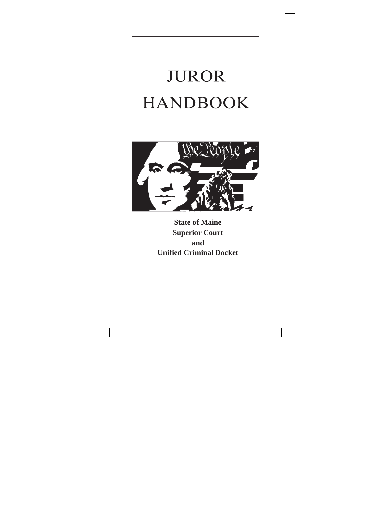



**State of Maine Superior Court and Unified Criminal Docket**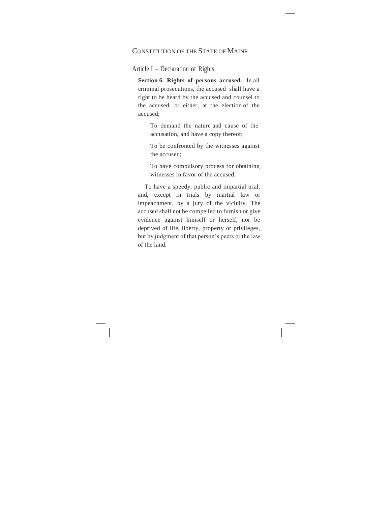## CONSTITUTION OF THE STATE OF MAINE

Article I – Declaration of Rights

**Section 6. Rights of persons accused.** In all criminal prosecutions, the accused shall have a right to be heard by the accused and counsel to the accused, or either, at the election of the accused;

To demand the nature and cause of the accusation, and have a copy thereof;

To be confronted by the witnesses against the accused;

To have compulsory process for obtaining witnesses in favor of the accused;

To have a speedy, public and impartial trial, and, except in trials by martial law or impeachment, by a jury of the vicinity. The accused shall not be compelled to furnish or give evidence against himself or herself, nor be deprived of life, liberty, property or privileges, but by judgment of that person's peers or the law of the land.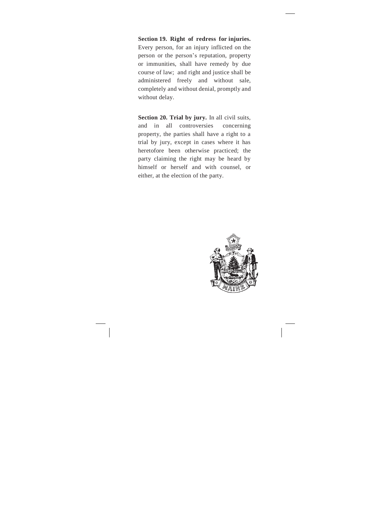**Section 19. Right of redress for injuries.** Every person, for an injury inflicted on the person or the person's reputation, property or immunities, shall have remedy by due course of law; and right and justice shall be administered freely and without sale, completely and without denial, promptly and without delay.

**Section 20. Trial by jury.** In all civil suits, and in all controversies concerning property, the parties shall have a right to a trial by jury, except in cases where it has heretofore been otherwise practiced; the party claiming the right may be heard by himself or herself and with counsel, or either, at the election of the party.

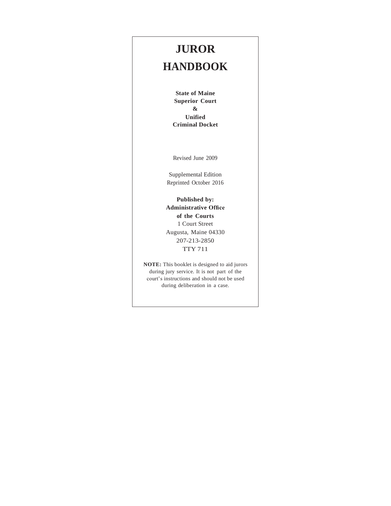# **JUROR**

# **HANDBOOK**

**State of Maine Superior Court & Unified Criminal Docket**

Revised June 2009

Supplemental Edition Reprinted October 2016

**Published by: Administrative Office of the Courts** 1 Court Street Augusta, Maine 04330 207-213-2850 TTY 711

**NOTE:** This booklet is designed to aid jurors during jury service. It is not part of the court's instructions and should not be used during deliberation in a case.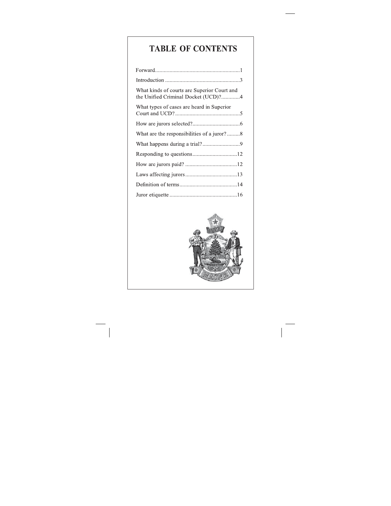# **TABLE OF CONTENTS**

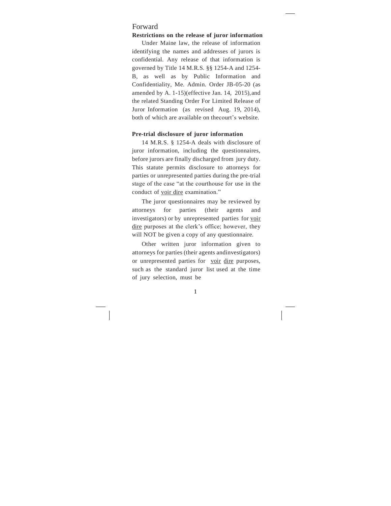## Forward

### **Restrictions on the release of juror information**

Under Maine law, the release of information identifying the names and addresses of jurors is confidential. Any release of that information is governed by Title 14 M.R.S. §§ 1254-A and 1254- B, as well as by Public Information and Confidentiality, Me. Admin. Order JB-05-20 (as amended by A. 1-15)(effective Jan. 14, 2015),and the related Standing Order For Limited Release of Juror Information (as revised Aug. 19, 2014), both of which are available on thecourt's website.

### **Pre-trial disclosure of juror information**

14 M.R.S. § 1254-A deals with disclosure of juror information, including the questionnaires, before jurors are finally discharged from jury duty. This statute permits disclosure to attorneys for parties or unrepresented parties during the pre-trial stage of the case "at the courthouse for use in the conduct of voir dire examination."

The juror questionnaires may be reviewed by attorneys for parties (their agents and investigators) or by unrepresented parties for voir dire purposes at the clerk's office; however, they will NOT be given a copy of any questionnaire.

Other written juror information given to attorneys for parties (their agents andinvestigators) or unrepresented parties for voir dire purposes, such as the standard juror list used at the time of jury selection, must be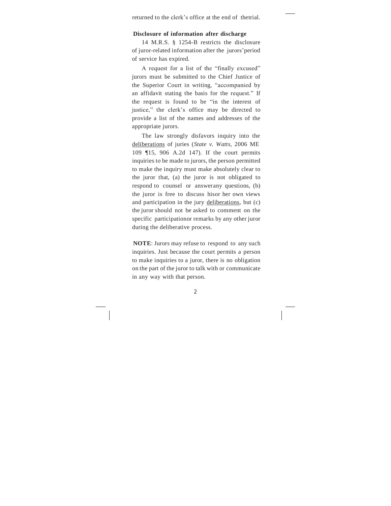returned to the clerk's office at the end of thetrial.

#### **Disclosure of information after discharge**

14 M.R.S. § 1254-B restricts the disclosure of juror-related information after the jurors'period of service has expired.

A request for a list of the "finally excused" jurors must be submitted to the Chief Justice of the Superior Court in writing, "accompanied by an affidavit stating the basis for the request." If the request is found to be "in the interest of justice," the clerk's office may be directed to provide a list of the names and addresses of the appropriate jurors.

The law strongly disfavors inquiry into the deliberations of juries (*State v. Watts*, 2006 ME 109 ¶15, 906 A.2d 147). If the court permits inquiries to be made to jurors, the person permitted to make the inquiry must make absolutely clear to the juror that, (a) the juror is not obligated to respond to counsel or answerany questions, (b) the juror is free to discuss hisor her own views and participation in the jury deliberations, but (c) the juror should not be asked to comment on the specific participationor remarks by any other juror during the deliberative process.

**NOTE**: Jurors may refuse to respond to any such inquiries. Just because the court permits a person to make inquiries to a juror, there is no obligation on the part of the juror to talk with or communicate in any way with that person.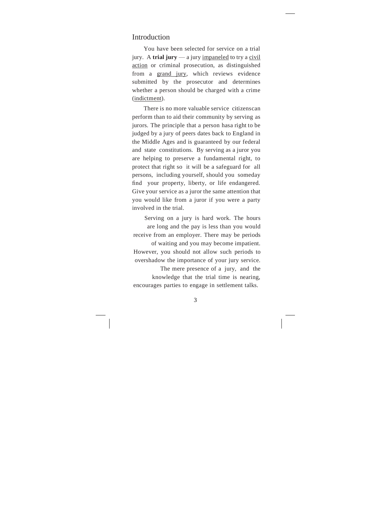## Introduction

You have been selected for service on a trial jury. A **trial jury** — a jury impaneled to try a civil action or criminal prosecution, as distinguished from a grand jury, which reviews evidence submitted by the prosecutor and determines whether a person should be charged with a crime (indictment).

There is no more valuable service citizenscan perform than to aid their community by serving as jurors. The principle that a person hasa right to be judged by a jury of peers dates back to England in the Middle Ages and is guaranteed by our federal and state constitutions. By serving as a juror you are helping to preserve a fundamental right, to protect that right so it will be a safeguard for all persons, including yourself, should you someday find your property, liberty, or life endangered. Give your service as a juror the same attention that you would like from a juror if you were a party involved in the trial.

Serving on a jury is hard work. The hours are long and the pay is less than you would receive from an employer. There may be periods of waiting and you may become impatient. However, you should not allow such periods to overshadow the importance of your jury service. The mere presence of a jury, and the

knowledge that the trial time is nearing, encourages parties to engage in settlement talks.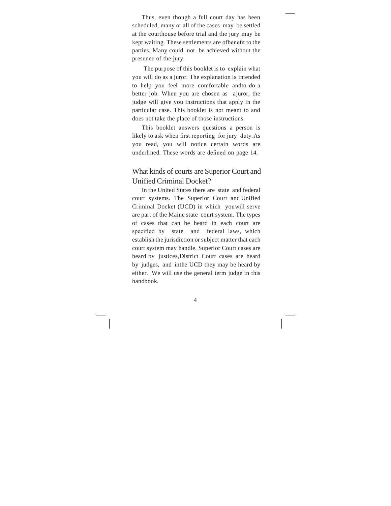Thus, even though a full court day has been scheduled, many or all of the cases may be settled at the courthouse before trial and the jury may be kept waiting. These settlements are ofbenefit to the parties. Many could not be achieved without the presence of the jury.

The purpose of this booklet is to explain what you will do as a juror. The explanation is intended to help you feel more comfortable andto do a better job. When you are chosen as ajuror, the judge will give you instructions that apply in the particular case. This booklet is not meant to and does not take the place of those instructions.

This booklet answers questions a person is likely to ask when first reporting for jury duty.As you read, you will notice certain words are underlined. These words are defined on page 14.

# What kinds of courts are Superior Court and Unified Criminal Docket?

In the United States there are state and federal court systems. The Superior Court and Unified Criminal Docket (UCD) in which youwill serve are part of the Maine state court system. The types of cases that can be heard in each court are specified by state and federal laws, which establish the jurisdiction or subject matter that each court system may handle. Superior Court cases are heard by justices,District Court cases are heard by judges, and inthe UCD they may be heard by either. We will use the general term judge in this handbook.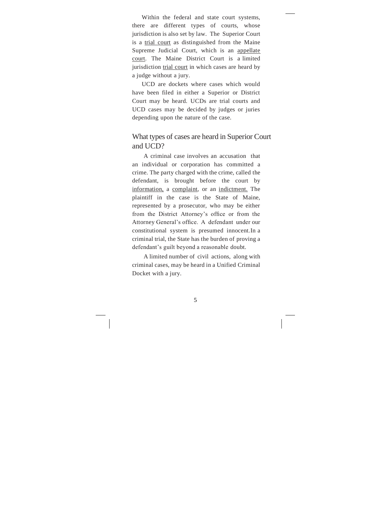Within the federal and state court systems, there are different types of courts, whose jurisdiction is also set by law. The Superior Court is a trial court as distinguished from the Maine Supreme Judicial Court, which is an appellate court. The Maine District Court is a limited jurisdiction trial court in which cases are heard by a judge without a jury.

UCD are dockets where cases which would have been filed in either a Superior or District Court may be heard. UCDs are trial courts and UCD cases may be decided by judges or juries depending upon the nature of the case.

# What types of cases are heard in Superior Court and UCD?

A criminal case involves an accusation that an individual or corporation has committed a crime. The party charged with the crime, called the defendant, is brought before the court by information, a complaint, or an indictment. The plaintiff in the case is the State of Maine, represented by a prosecutor, who may be either from the District Attorney's office or from the Attorney General's office. A defendant under our constitutional system is presumed innocent.In a criminal trial, the State has the burden of proving a defendant's guilt beyond a reasonable doubt.

A limited number of civil actions, along with criminal cases, may be heard in a Unified Criminal Docket with a jury.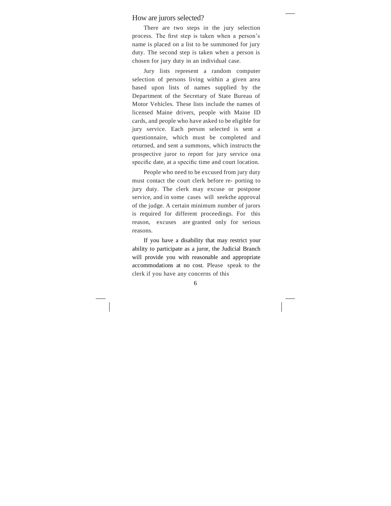## How are jurors selected?

There are two steps in the jury selection process. The first step is taken when a person's name is placed on a list to be summoned for jury duty. The second step is taken when a person is chosen for jury duty in an individual case.

Jury lists represent a random computer selection of persons living within a given area based upon lists of names supplied by the Department of the Secretary of State Bureau of Motor Vehicles. These lists include the names of licensed Maine drivers, people with Maine ID cards, and people who have asked to be eligible for jury service. Each person selected is sent a questionnaire, which must be completed and returned, and sent a summons, which instructs the prospective juror to report for jury service ona specific date, at a specific time and court location.

People who need to be excused from jury duty must contact the court clerk before re- porting to jury duty. The clerk may excuse or postpone service, and in some cases will seekthe approval of the judge. A certain minimum number of jurors is required for different proceedings. For this reason, excuses are granted only for serious reasons.

If you have a disability that may restrict your ability to participate as a juror, the Judicial Branch will provide you with reasonable and appropriate accommodations at no cost. Please speak to the clerk if you have any concerns of this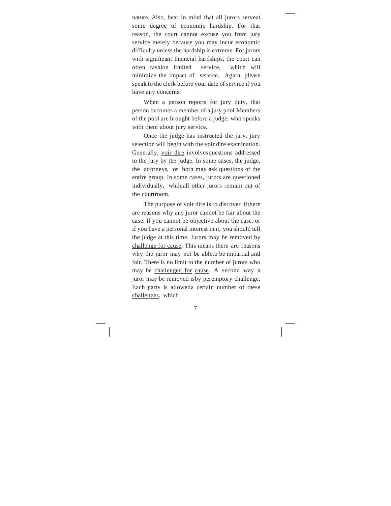nature. Also, bear in mind that all jurors serveat some degree of economic hardship. For that reason, the court cannot excuse you from jury service merely because you may incur economic difficulty unless the hardship is extreme. For jurors with significant financial hardships, the court can often fashion limited service, which will minimize the impact of service. Again, please speak to the clerk before your date of service if you have any concerns.

When a person reports for jury duty, that person becomes a member of a jury pool.Members of the pool are brought before a judge, who speaks with them about jury service.

Once the judge has instructed the jury, jury selection will begin with the voir dire examination. Generally, voir dire involvesquestions addressed to the jury by the judge. In some cases, the judge, the attorneys, or both may ask questions of the entire group. In some cases, jurors are questioned individually, whileall other jurors remain out of the courtroom.

The purpose of voir dire is to discover if there are reasons why any juror cannot be fair about the case. If you cannot be objective about the case, or if you have a personal interest in it, you should tell the judge at this time. Jurors may be removed by challenge for cause. This means there are reasons why the juror may not be ableto be impartial and fair. There is no limit to the number of jurors who may be challenged for cause. A second way a juror may be removed isby peremptory challenge. Each party is alloweda certain number of these challenges, which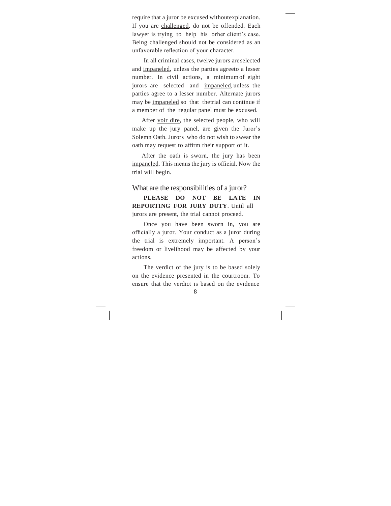require that a juror be excused withoutexplanation. If you are challenged, do not be offended. Each lawyer is trying to help his orher client's case. Being challenged should not be considered as an unfavorable reflection of your character.

In all criminal cases, twelve jurors are selected and impaneled, unless the parties agreeto a lesser number. In civil actions, a minimumof eight jurors are selected and impaneled, unless the parties agree to a lesser number. Alternate jurors may be impaneled so that thetrial can continue if a member of the regular panel must be excused.

After voir dire, the selected people, who will make up the jury panel, are given the Juror's Solemn Oath. Jurors who do not wish to swear the oath may request to affirm their support of it.

After the oath is sworn, the jury has been impaneled. This means the jury is official. Now the trial will begin.

## What are the responsibilities of a juror?

**PLEASE DO NOT BE LATE IN REPORTING FOR JURY DUTY**. Until all jurors are present, the trial cannot proceed.

Once you have been sworn in, you are officially a juror. Your conduct as a juror during the trial is extremely important. A person's freedom or livelihood may be affected by your actions.

The verdict of the jury is to be based solely on the evidence presented in the courtroom. To ensure that the verdict is based on the evidence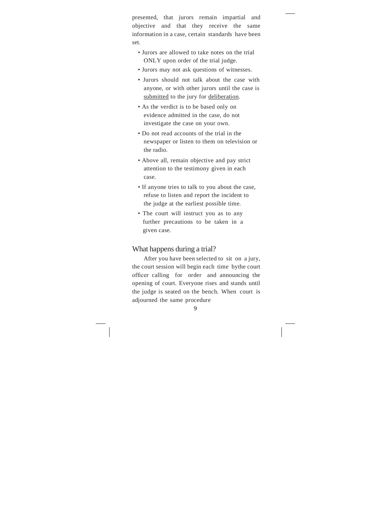presented, that jurors remain impartial and objective and that they receive the same information in a case, certain standards have been set.

- Jurors are allowed to take notes on the trial ONLY upon order of the trial judge.
- Jurors may not ask questions of witnesses.
- Jurors should not talk about the case with anyone, or with other jurors until the case is submitted to the jury for deliberation.
- As the verdict is to be based only on evidence admitted in the case, do not investigate the case on your own.
- Do not read accounts of the trial in the newspaper or listen to them on television or the radio.
- Above all, remain objective and pay strict attention to the testimony given in each case.
- If anyone tries to talk to you about the case, refuse to listen and report the incident to the judge at the earliest possible time.
- The court will instruct you as to any further precautions to be taken in a given case.

## What happens during a trial?

After you have been selected to sit on a jury, the court session will begin each time bythe court officer calling for order and announcing the opening of court. Everyone rises and stands until the judge is seated on the bench. When court is adjourned the same procedure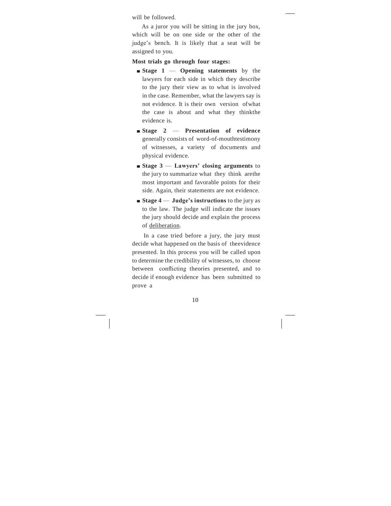will be followed.

As a juror you will be sitting in the jury box, which will be on one side or the other of the judge's bench. It is likely that a seat will be assigned to you.

## **Most trials go through four stages:**

- **Stage 1 Opening statements** by the lawyers for each side in which they describe to the jury their view as to what is involved in the case. Remember, what the lawyers say is not evidence. It is their own version ofwhat the case is about and what they thinkthe evidence is.
- **Stage 2 Presentation of evidence** generally consists of word-of-mouthtestimony of witnesses, a variety of documents and physical evidence.
- **Stage 3 Lawyers' closing arguments** to the jury to summarize what they think arethe most important and favorable points for their side. Again, their statements are not evidence.
- **Stage 4 Judge's instructions** to the jury as to the law. The judge will indicate the issues the jury should decide and explain the process of deliberation.

In a case tried before a jury, the jury must decide what happened on the basis of theevidence presented. In this process you will be called upon to determine the credibility of witnesses, to choose between conflicting theories presented, and to decide if enough evidence has been submitted to prove a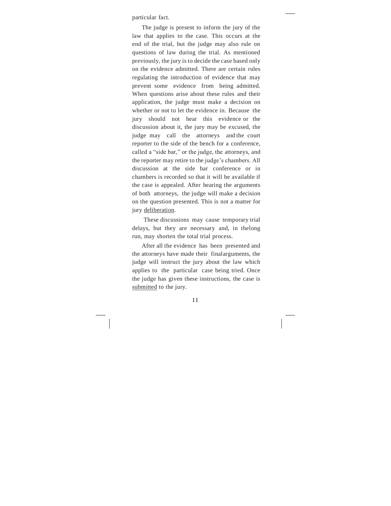particular fact.

The judge is present to inform the jury of the law that applies to the case. This occurs at the end of the trial, but the judge may also rule on questions of law during the trial. As mentioned previously, the jury is to decide the case based only on the evidence admitted. There are certain rules regulating the introduction of evidence that may prevent some evidence from being admitted. When questions arise about these rules and their application, the judge must make a decision on whether or not to let the evidence in. Because the jury should not hear this evidence or the discussion about it, the jury may be excused, the judge may call the attorneys and the court reporter to the side of the bench for a conference, called a "side bar," or the judge, the attorneys, and the reporter may retire to the judge's chambers. All discussion at the side bar conference or in chambers is recorded so that it will be available if the case is appealed. After hearing the arguments of both attorneys, the judge will make a decision on the question presented. This is not a matter for jury deliberation.

These discussions may cause temporary trial delays, but they are necessary and, in thelong run, may shorten the total trial process.

After all the evidence has been presented and the attorneys have made their finalarguments, the judge will instruct the jury about the law which applies to the particular case being tried. Once the judge has given these instructions, the case is submitted to the jury.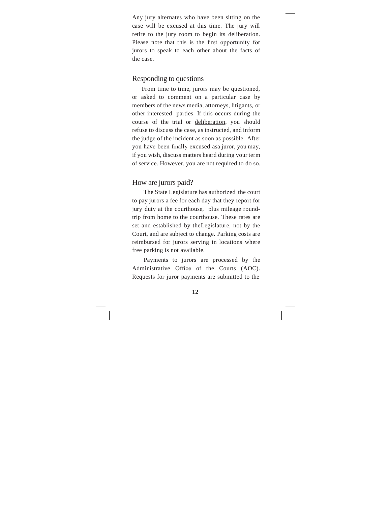Any jury alternates who have been sitting on the case will be excused at this time. The jury will retire to the jury room to begin its deliberation. Please note that this is the first opportunity for jurors to speak to each other about the facts of the case.

# Responding to questions

From time to time, jurors may be questioned, or asked to comment on a particular case by members of the news media, attorneys, litigants, or other interested parties. If this occurs during the course of the trial or deliberation, you should refuse to discuss the case, as instructed, and inform the judge of the incident as soon as possible. After you have been finally excused asa juror, you may, if you wish, discuss matters heard during your term of service. However, you are not required to do so.

## How are jurors paid?

The State Legislature has authorized the court to pay jurors a fee for each day that they report for jury duty at the courthouse, plus mileage roundtrip from home to the courthouse. These rates are set and established by theLegislature, not by the Court, and are subject to change. Parking costs are reimbursed for jurors serving in locations where free parking is not available.

Payments to jurors are processed by the Administrative Office of the Courts (AOC). Requests for juror payments are submitted to the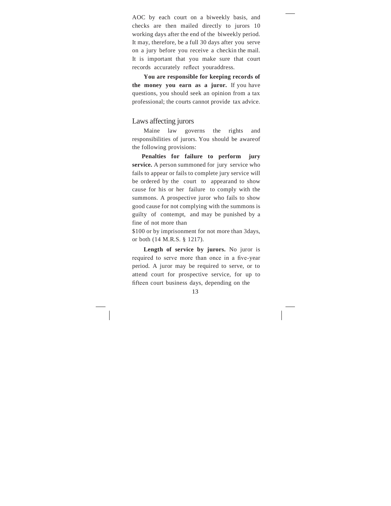AOC by each court on a biweekly basis, and checks are then mailed directly to jurors 10 working days after the end of the biweekly period. It may, therefore, be a full 30 days after you serve on a jury before you receive a checkin the mail. It is important that you make sure that court records accurately reflect youraddress.

**You are responsible for keeping records of the money you earn as a juror.** If you have questions, you should seek an opinion from a tax professional; the courts cannot provide tax advice.

## Laws affecting jurors

Maine law governs the rights and responsibilities of jurors. You should be awareof the following provisions:

**Penalties for failure to perform jury service.** A person summoned for jury service who fails to appear or fails to complete jury service will be ordered by the court to appearand to show cause for his or her failure to comply with the summons. A prospective juror who fails to show good cause for not complying with the summons is guilty of contempt, and may be punished by a fine of not more than

\$100 or by imprisonment for not more than 3days, or both (14 M.R.S. § 1217).

**Length of service by jurors.** No juror is required to serve more than once in a five-year period. A juror may be required to serve, or to attend court for prospective service, for up to fifteen court business days, depending on the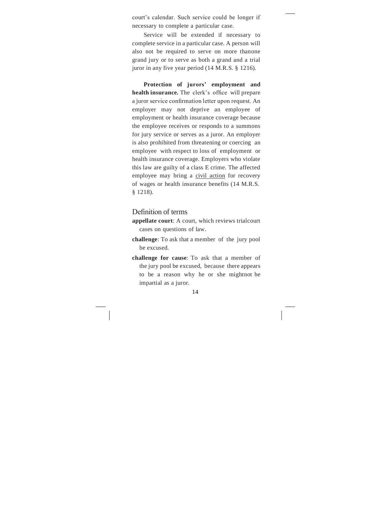court's calendar. Such service could be longer if necessary to complete a particular case.

Service will be extended if necessary to complete service in a particular case. A person will also not be required to serve on more thanone grand jury or to serve as both a grand and a trial juror in any five year period (14 M.R.S. § 1216).

**Protection of jurors' employment and health insurance.** The clerk's office will prepare a juror service confirmation letter upon request. An employer may not deprive an employee of employment or health insurance coverage because the employee receives or responds to a summons for jury service or serves as a juror. An employer is also prohibited from threatening or coercing an employee with respect to loss of employment or health insurance coverage. Employers who violate this law are guilty of a class E crime. The affected employee may bring a civil action for recovery of wages or health insurance benefits (14 M.R.S. § 1218).

## Definition of terms

- **appellate court**: A court, which reviews trialcourt cases on questions of law.
- **challenge**: To ask that a member of the jury pool be excused.
- **challenge for cause**: To ask that a member of the jury pool be excused, because there appears to be a reason why he or she mightnot be impartial as a juror.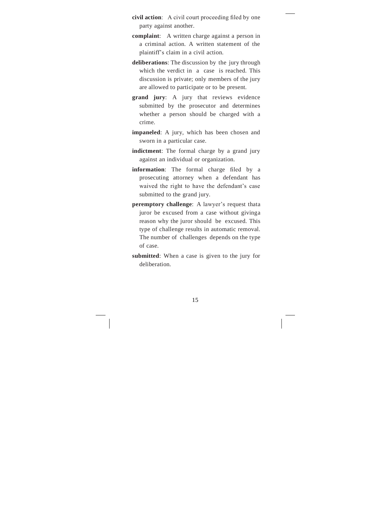- **civil action**: A civil court proceeding filed by one party against another.
- **complaint**: A written charge against a person in a criminal action. A written statement of the plaintiff's claim in a civil action.
- **deliberations**: The discussion by the jury through which the verdict in a case is reached. This discussion is private; only members of the jury are allowed to participate or to be present.
- **grand jury**: A jury that reviews evidence submitted by the prosecutor and determines whether a person should be charged with a crime.
- **impaneled**: A jury, which has been chosen and sworn in a particular case.
- **indictment**: The formal charge by a grand jury against an individual or organization.
- **information**: The formal charge filed by a prosecuting attorney when a defendant has waived the right to have the defendant's case submitted to the grand jury.
- **peremptory challenge**: A lawyer's request thata juror be excused from a case without givinga reason why the juror should be excused. This type of challenge results in automatic removal. The number of challenges depends on the type of case.
- **submitted**: When a case is given to the jury for deliberation.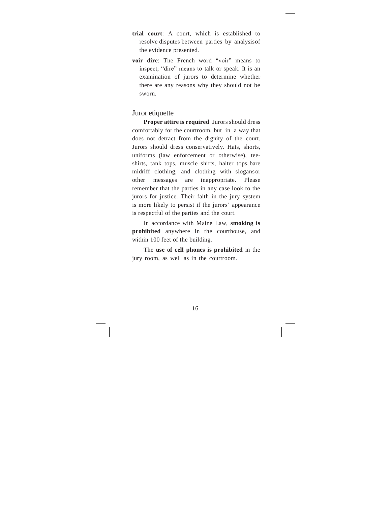- **trial court**: A court, which is established to resolve disputes between parties by analysisof the evidence presented.
- **voir dire**: The French word "voir" means to inspect; "dire" means to talk or speak. It is an examination of jurors to determine whether there are any reasons why they should not be sworn.

### Juror etiquette

**Proper attire is required**. Jurors should dress comfortably for the courtroom, but in a way that does not detract from the dignity of the court. Jurors should dress conservatively. Hats, shorts, uniforms (law enforcement or otherwise), teeshirts, tank tops, muscle shirts, halter tops, bare midriff clothing, and clothing with slogansor other messages are inappropriate. Please remember that the parties in any case look to the jurors for justice. Their faith in the jury system is more likely to persist if the jurors' appearance is respectful of the parties and the court.

In accordance with Maine Law, **smoking is prohibited** anywhere in the courthouse, and within 100 feet of the building.

The **use of cell phones is prohibited** in the jury room, as well as in the courtroom.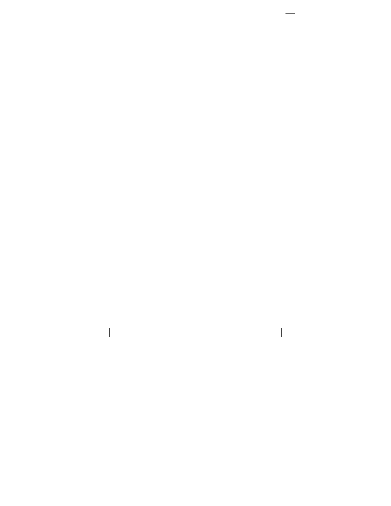$\begin{array}{c} \hline \hline \hline \hline \end{array}$  $\label{eq:2} \frac{1}{\sqrt{2}}\left(\frac{1}{\sqrt{2}}\right)^{2} \left(\frac{1}{\sqrt{2}}\right)^{2} \left(\frac{1}{\sqrt{2}}\right)^{2} \left(\frac{1}{\sqrt{2}}\right)^{2} \left(\frac{1}{\sqrt{2}}\right)^{2} \left(\frac{1}{\sqrt{2}}\right)^{2} \left(\frac{1}{\sqrt{2}}\right)^{2} \left(\frac{1}{\sqrt{2}}\right)^{2} \left(\frac{1}{\sqrt{2}}\right)^{2} \left(\frac{1}{\sqrt{2}}\right)^{2} \left(\frac{1}{\sqrt{2}}\right)^{2} \left(\frac{$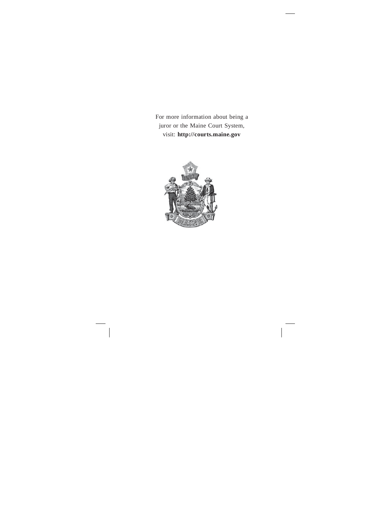For more information about being a juror or the Maine Court System, visit: **[http://courts.maine.gov](http://courts.maine.gov/)**



 $\overline{\phantom{a}}$